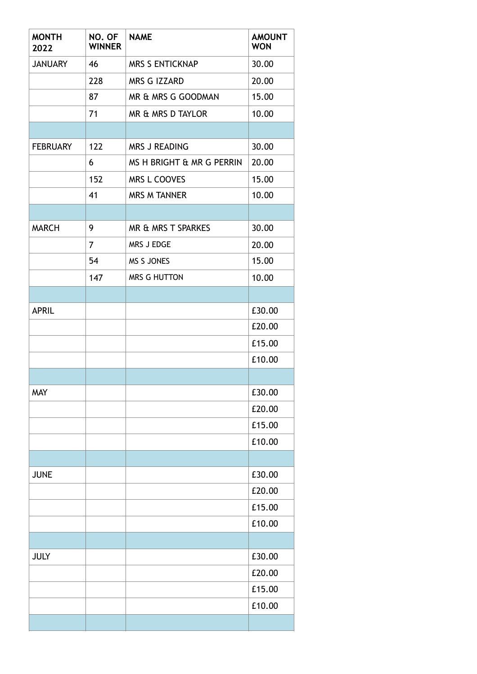| <b>MONTH</b><br>2022 | NO. OF<br><b>WINNER</b> | <b>NAME</b>               | <b>AMOUNT</b><br><b>WON</b> |
|----------------------|-------------------------|---------------------------|-----------------------------|
| <b>JANUARY</b>       | 46                      | <b>MRS S ENTICKNAP</b>    | 30.00                       |
|                      | 228                     | MRS G IZZARD              | 20.00                       |
|                      | 87                      | MR & MRS G GOODMAN        | 15.00                       |
|                      | 71                      | MR & MRS D TAYLOR         | 10.00                       |
|                      |                         |                           |                             |
| <b>FEBRUARY</b>      | 122                     | MRS J READING             | 30.00                       |
|                      | 6                       | MS H BRIGHT & MR G PERRIN | 20.00                       |
|                      | 152                     | MRS L COOVES              | 15.00                       |
|                      | 41                      | <b>MRS M TANNER</b>       | 10.00                       |
|                      |                         |                           |                             |
| <b>MARCH</b>         | 9                       | MR & MRS T SPARKES        | 30.00                       |
|                      | 7                       | MRS J EDGE                | 20.00                       |
|                      | 54                      | MS S JONES                | 15.00                       |
|                      | 147                     | MRS G HUTTON              | 10.00                       |
|                      |                         |                           |                             |
| <b>APRIL</b>         |                         |                           | £30.00                      |
|                      |                         |                           | £20.00                      |
|                      |                         |                           | £15.00                      |
|                      |                         |                           | £10.00                      |
|                      |                         |                           |                             |
| <b>MAY</b>           |                         |                           | £30.00                      |
|                      |                         |                           | £20.00                      |
|                      |                         |                           | £15.00                      |
|                      |                         |                           | £10.00                      |
|                      |                         |                           |                             |
| <b>JUNE</b>          |                         |                           | £30.00                      |
|                      |                         |                           | £20.00                      |
|                      |                         |                           | £15.00                      |
|                      |                         |                           | £10.00                      |
|                      |                         |                           |                             |
| <b>JULY</b>          |                         |                           | £30.00                      |
|                      |                         |                           | £20.00                      |
|                      |                         |                           | £15.00                      |
|                      |                         |                           | £10.00                      |
|                      |                         |                           |                             |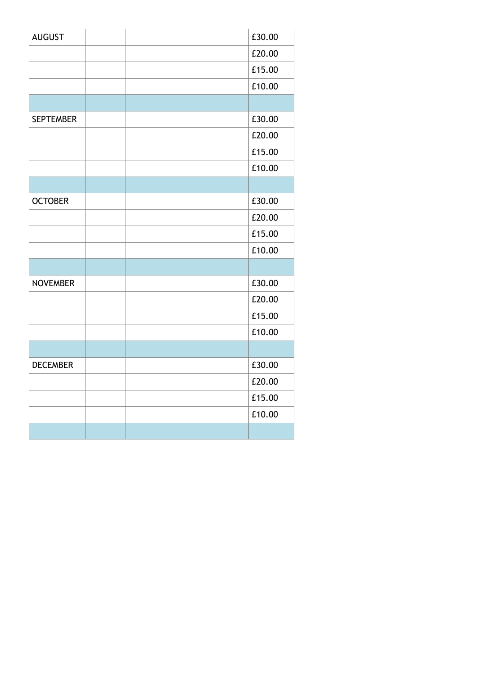| <b>AUGUST</b>    |  | £30.00 |
|------------------|--|--------|
|                  |  | £20.00 |
|                  |  | £15.00 |
|                  |  | £10.00 |
|                  |  |        |
| <b>SEPTEMBER</b> |  | £30.00 |
|                  |  | £20.00 |
|                  |  | £15.00 |
|                  |  | £10.00 |
|                  |  |        |
| <b>OCTOBER</b>   |  | £30.00 |
|                  |  | £20.00 |
|                  |  | £15.00 |
|                  |  | £10.00 |
|                  |  |        |
| <b>NOVEMBER</b>  |  | £30.00 |
|                  |  | £20.00 |
|                  |  | £15.00 |
|                  |  | £10.00 |
|                  |  |        |
| <b>DECEMBER</b>  |  | £30.00 |
|                  |  | £20.00 |
|                  |  | £15.00 |
|                  |  | £10.00 |
|                  |  |        |